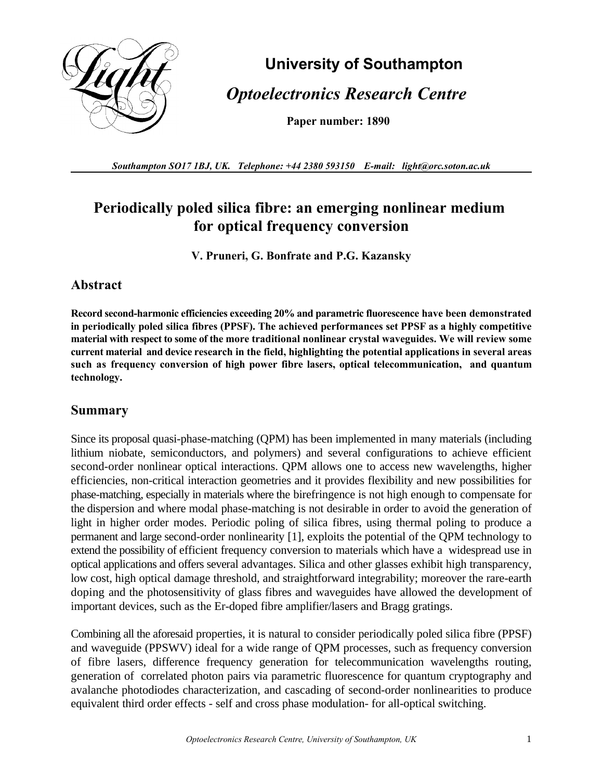

# **University of Southampton**  *Optoelectronics Research Centre*

**Paper number: 1890**

*Southampton SO17 1BJ, UK. Telephone: +44 2380 593150 E-mail: light@orc.soton.ac.uk*

## **Periodically poled silica fibre: an emerging nonlinear medium for optical frequency conversion**

**V. Pruneri, G. Bonfrate and P.G. Kazansky**

#### **Abstract**

**Record second-harmonic efficiencies exceeding 20% and parametric fluorescence have been demonstrated in periodically poled silica fibres (PPSF). The achieved performances set PPSF as a highly competitive material with respect to some of the more traditional nonlinear crystal waveguides. We will review some current material and device research in the field, highlighting the potential applications in several areas such as frequency conversion of high power fibre lasers, optical telecommunication, and quantum technology.**

#### **Summary**

Since its proposal quasi-phase-matching (QPM) has been implemented in many materials (including lithium niobate, semiconductors, and polymers) and several configurations to achieve efficient second-order nonlinear optical interactions. QPM allows one to access new wavelengths, higher efficiencies, non-critical interaction geometries and it provides flexibility and new possibilities for phase-matching, especially in materials where the birefringence is not high enough to compensate for the dispersion and where modal phase-matching is not desirable in order to avoid the generation of light in higher order modes. Periodic poling of silica fibres, using thermal poling to produce a permanent and large second-order nonlinearity [1], exploits the potential of the QPM technology to extend the possibility of efficient frequency conversion to materials which have a widespread use in optical applications and offers several advantages. Silica and other glasses exhibit high transparency, low cost, high optical damage threshold, and straightforward integrability; moreover the rare-earth doping and the photosensitivity of glass fibres and waveguides have allowed the development of important devices, such as the Er-doped fibre amplifier/lasers and Bragg gratings.

Combining all the aforesaid properties, it is natural to consider periodically poled silica fibre (PPSF) and waveguide (PPSWV) ideal for a wide range of QPM processes, such as frequency conversion of fibre lasers, difference frequency generation for telecommunication wavelengths routing, generation of correlated photon pairs via parametric fluorescence for quantum cryptography and avalanche photodiodes characterization, and cascading of second-order nonlinearities to produce equivalent third order effects - self and cross phase modulation- for all-optical switching.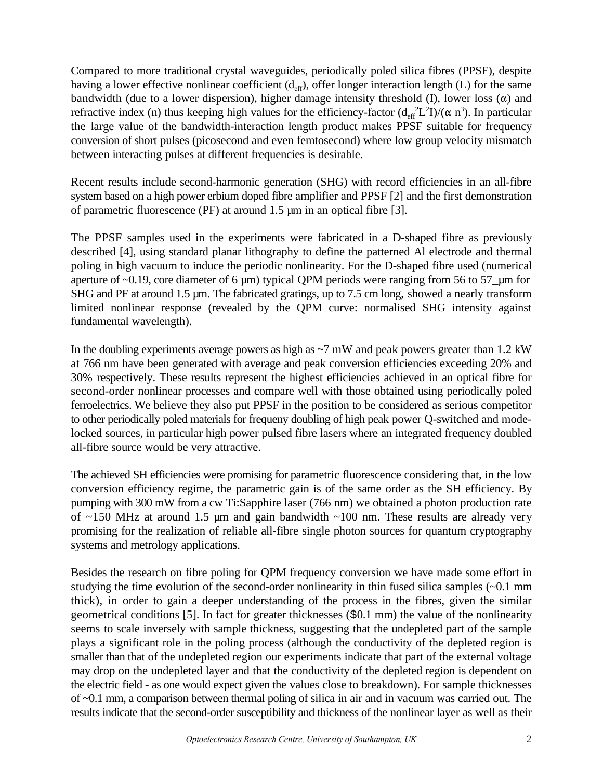Compared to more traditional crystal waveguides, periodically poled silica fibres (PPSF), despite having a lower effective nonlinear coefficient  $(d_{\text{eff}})$ , offer longer interaction length (L) for the same bandwidth (due to a lower dispersion), higher damage intensity threshold (I), lower loss  $(\alpha)$  and refractive index (n) thus keeping high values for the efficiency-factor  $(d_{eff}^2L^2I)/(\alpha n^3)$ . In particular the large value of the bandwidth-interaction length product makes PPSF suitable for frequency conversion of short pulses (picosecond and even femtosecond) where low group velocity mismatch between interacting pulses at different frequencies is desirable.

Recent results include second-harmonic generation (SHG) with record efficiencies in an all-fibre system based on a high power erbium doped fibre amplifier and PPSF [2] and the first demonstration of parametric fluorescence (PF) at around 1.5 µm in an optical fibre [3].

The PPSF samples used in the experiments were fabricated in a D-shaped fibre as previously described [4], using standard planar lithography to define the patterned Al electrode and thermal poling in high vacuum to induce the periodic nonlinearity. For the D-shaped fibre used (numerical aperture of ~0.19, core diameter of 6 µm) typical QPM periods were ranging from 56 to 57\_µm for SHG and PF at around 1.5 µm. The fabricated gratings, up to 7.5 cm long, showed a nearly transform limited nonlinear response (revealed by the QPM curve: normalised SHG intensity against fundamental wavelength).

In the doubling experiments average powers as high as  $\sim$ 7 mW and peak powers greater than 1.2 kW at 766 nm have been generated with average and peak conversion efficiencies exceeding 20% and 30% respectively. These results represent the highest efficiencies achieved in an optical fibre for second-order nonlinear processes and compare well with those obtained using periodically poled ferroelectrics. We believe they also put PPSF in the position to be considered as serious competitor to other periodically poled materials for frequeny doubling of high peak power Q-switched and modelocked sources, in particular high power pulsed fibre lasers where an integrated frequency doubled all-fibre source would be very attractive.

The achieved SH efficiencies were promising for parametric fluorescence considering that, in the low conversion efficiency regime, the parametric gain is of the same order as the SH efficiency. By pumping with 300 mW from a cw Ti:Sapphire laser (766 nm) we obtained a photon production rate of  $\sim$ 150 MHz at around 1.5 µm and gain bandwidth  $\sim$ 100 nm. These results are already very promising for the realization of reliable all-fibre single photon sources for quantum cryptography systems and metrology applications.

Besides the research on fibre poling for QPM frequency conversion we have made some effort in studying the time evolution of the second-order nonlinearity in thin fused silica samples  $(\sim 0.1 \text{ mm})$ thick), in order to gain a deeper understanding of the process in the fibres, given the similar geometrical conditions [5]. In fact for greater thicknesses (\$0.1 mm) the value of the nonlinearity seems to scale inversely with sample thickness, suggesting that the undepleted part of the sample plays a significant role in the poling process (although the conductivity of the depleted region is smaller than that of the undepleted region our experiments indicate that part of the external voltage may drop on the undepleted layer and that the conductivity of the depleted region is dependent on the electric field - as one would expect given the values close to breakdown). For sample thicknesses of ~0.1 mm, a comparison between thermal poling of silica in air and in vacuum was carried out. The results indicate that the second-order susceptibility and thickness of the nonlinear layer as well as their